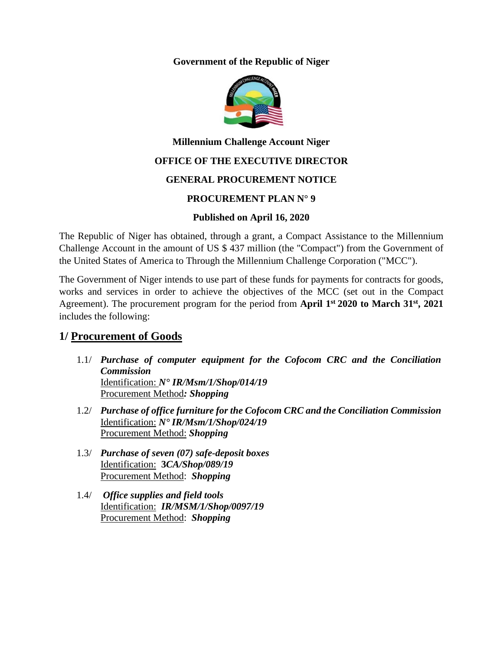**Government of the Republic of Niger**



# **Millennium Challenge Account Niger**

### **OFFICE OF THE EXECUTIVE DIRECTOR**

### **GENERAL PROCUREMENT NOTICE**

### **PROCUREMENT PLAN N° 9**

### **Published on April 16, 2020**

The Republic of Niger has obtained, through a grant, a Compact Assistance to the Millennium Challenge Account in the amount of US \$ 437 million (the "Compact") from the Government of the United States of America to Through the Millennium Challenge Corporation ("MCC").

The Government of Niger intends to use part of these funds for payments for contracts for goods, works and services in order to achieve the objectives of the MCC (set out in the Compact Agreement). The procurement program for the period from **April 1st 2020 to March 31st, 2021** includes the following:

# **1/ Procurement of Goods**

- 1.1/ *Purchase of computer equipment for the Cofocom CRC and the Conciliation Commission* Identification: *N° IR/Msm/1/Shop/014/19* Procurement Method*: Shopping*
- 1.2/ *Purchase of office furniture for the Cofocom CRC and the Conciliation Commission* Identification: *N° IR/Msm/1/Shop/024/19* Procurement Method: *Shopping*
- 1.3/ *Purchase of seven (07) safe-deposit boxes* Identification: **3***CA/Shop/089/19* Procurement Method: *Shopping*
- 1.4/ *Office supplies and field tools* Identification: *IR/MSM/1/Shop/0097/19* Procurement Method: *Shopping*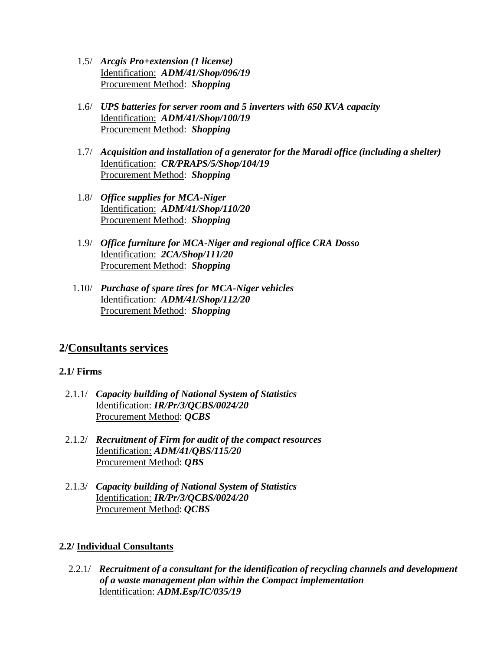- 1.5/ *Arcgis Pro+extension (1 license)* Identification: *ADM/41/Shop/096/19* Procurement Method: *Shopping*
- 1.6/ *UPS batteries for server room and 5 inverters with 650 KVA capacity* Identification: *ADM/41/Shop/100/19* Procurement Method: *Shopping*
- 1.7/ *Acquisition and installation of a generator for the Maradi office (including a shelter)* Identification: *CR/PRAPS/5/Shop/104/19* Procurement Method: *Shopping*
- 1.8/ *Office supplies for MCA-Niger* Identification: *ADM/41/Shop/110/20* Procurement Method: *Shopping*
- 1.9/ *Office furniture for MCA-Niger and regional office CRA Dosso* Identification: *2CA/Shop/111/20* Procurement Method: *Shopping*
- 1.10/ *Purchase of spare tires for MCA-Niger vehicles* Identification: *ADM/41/Shop/112/20* Procurement Method: *Shopping*

# **2/Consultants services**

### **2.1/ Firms**

- 2.1.1/ *Capacity building of National System of Statistics* Identification: *IR/Pr/3/QCBS/0024/20* Procurement Method: *QCBS*
- 2.1.2/ *Recruitment of Firm for audit of the compact resources* Identification: *ADM/41/QBS/115/20* Procurement Method: *QBS*
- 2.1.3/ *Capacity building of National System of Statistics* Identification: *IR/Pr/3/QCBS/0024/20* Procurement Method: *QCBS*

### **2.2/ Individual Consultants**

2.2.1/ *Recruitment of a consultant for the identification of recycling channels and development of a waste management plan within the Compact implementation* Identification: *ADM.Esp/IC/035/19*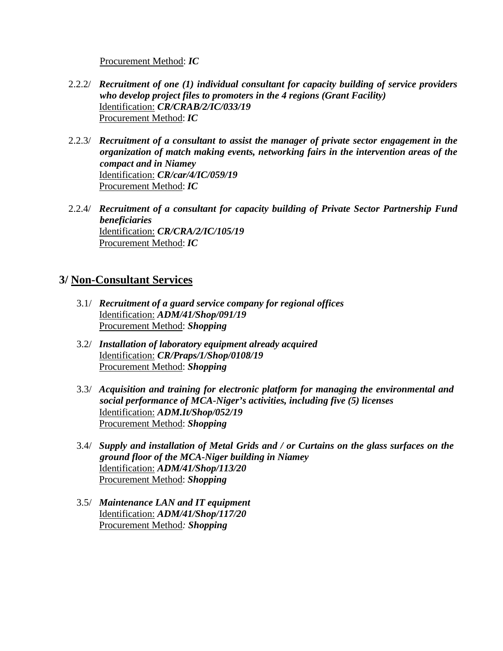#### Procurement Method: *IC*

- 2.2.2/ *Recruitment of one (1) individual consultant for capacity building of service providers who develop project files to promoters in the 4 regions (Grant Facility)* Identification: *CR/CRAB/2/IC/033/19* Procurement Method: *IC*
- 2.2.3/ *Recruitment of a consultant to assist the manager of private sector engagement in the organization of match making events, networking fairs in the intervention areas of the compact and in Niamey* Identification: *CR/car/4/IC/059/19* Procurement Method: *IC*
- 2.2.4/ *Recruitment of a consultant for capacity building of Private Sector Partnership Fund beneficiaries* Identification: *CR/CRA/2/IC/105/19* Procurement Method: *IC*

## **3/ Non-Consultant Services**

- 3.1/ *Recruitment of a guard service company for regional offices* Identification: *ADM/41/Shop/091/19* Procurement Method: *Shopping*
- 3.2/ *Installation of laboratory equipment already acquired* Identification: *CR/Praps/1/Shop/0108/19* Procurement Method: *Shopping*
- 3.3/ *Acquisition and training for electronic platform for managing the environmental and social performance of MCA-Niger's activities, including five (5) licenses* Identification: *ADM.It/Shop/052/19* Procurement Method: *Shopping*
- 3.4/ *Supply and installation of Metal Grids and / or Curtains on the glass surfaces on the ground floor of the MCA-Niger building in Niamey* Identification: *ADM/41/Shop/113/20* Procurement Method: *Shopping*
- 3.5/ *Maintenance LAN and IT equipment* Identification: *ADM/41/Shop/117/20* Procurement Method*: Shopping*